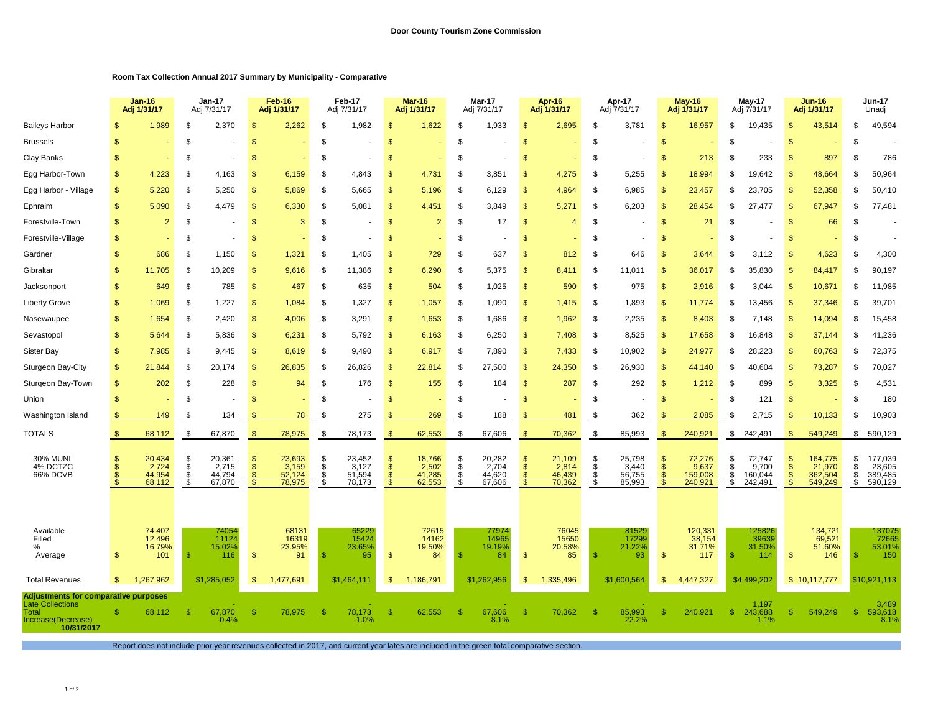## **Room Tax Collection Annual 2017 Summary by Municipality - Comparative**

|                                                                                                                     |               | Jan-16<br>Adj 1/31/17               |                  | <b>Jan-17</b><br>Adj 7/31/17        |                         | Feb-16<br>Adj 1/31/17               |                             | Feb-17<br>Adj 7/31/17               |                             | Mar-16<br>Adj 1/31/17               |                 | Mar-17<br>Adj 7/31/17               |                           | Apr-16<br>Adj 1/31/17               |                      | Apr-17<br>Adj 7/31/17               |                                          | <b>May-16</b><br>Adj 1/31/17          |                     | <b>May-17</b><br>Adj 7/31/17          |                      | <b>Jun-16</b><br>Adj 1/31/17            |                     | Jun-17<br>Unadj                         |
|---------------------------------------------------------------------------------------------------------------------|---------------|-------------------------------------|------------------|-------------------------------------|-------------------------|-------------------------------------|-----------------------------|-------------------------------------|-----------------------------|-------------------------------------|-----------------|-------------------------------------|---------------------------|-------------------------------------|----------------------|-------------------------------------|------------------------------------------|---------------------------------------|---------------------|---------------------------------------|----------------------|-----------------------------------------|---------------------|-----------------------------------------|
| <b>Baileys Harbor</b>                                                                                               |               | 1,989                               | \$               | 2,370                               | \$.                     | 2,262                               | <sup>\$</sup>               | 1,982                               | \$                          | 1,622                               | <sup>\$</sup>   | 1,933                               | \$                        | 2,695                               | \$                   | 3,781                               | S                                        | 16,957                                | \$                  | 19,435                                |                      | 43,514                                  | \$                  | 49,594                                  |
| <b>Brussels</b>                                                                                                     |               |                                     | \$               |                                     | <b>S</b>                |                                     | \$                          |                                     | \$                          |                                     | S.              |                                     | S                         |                                     | S                    |                                     | \$                                       |                                       | -S                  |                                       | -S                   |                                         | -S                  |                                         |
| Clay Banks                                                                                                          | \$            |                                     | \$               |                                     | <b>S</b>                |                                     | \$                          |                                     | \$                          | ٠                                   | \$              |                                     | \$                        | ٠                                   | \$                   | $\overline{\phantom{a}}$            | \$                                       | 213                                   | -96                 | 233                                   | -S                   | 897                                     | -\$                 | 786                                     |
| Egg Harbor-Town                                                                                                     | \$            | 4,223                               | \$               | 4,163                               | <b>S</b>                | 6,159                               | \$                          | 4,843                               | \$                          | 4,731                               | \$              | 3,851                               | <sub>\$</sub>             | 4,275                               | \$                   | 5,255                               | S                                        | 18,994                                | £.                  | 19.642                                | $\mathcal{S}$        | 48,664                                  | \$.                 | 50,964                                  |
| Egg Harbor - Village                                                                                                | \$            | 5,220                               | \$               | 5,250                               | <b>S</b>                | 5,869                               | \$                          | 5,665                               | \$                          | 5,196                               | \$              | 6,129                               | \$                        | 4,964                               | - \$                 | 6,985                               | S                                        | 23,457                                | \$                  | 23.705                                | <b>S</b>             | 52,358                                  | \$                  | 50,410                                  |
| Ephraim                                                                                                             | \$            | 5,090                               | \$               | 4,479                               | <b>S</b>                | 6,330                               | S.                          | 5,081                               | <sup>\$</sup>               | 4,451                               | S.              | 3,849                               | S                         | 5,271                               | \$                   | 6,203                               | S                                        | 28,454                                | -S                  | 27,477                                | -S                   | 67,947                                  | S                   | 77,481                                  |
| Forestville-Town                                                                                                    | \$            | $\overline{2}$                      | \$               |                                     | \$                      | 3                                   | <sup>\$</sup>               |                                     | \$                          | $\overline{2}$                      | \$              | 17                                  | $\mathcal{S}$             | $\overline{4}$                      | \$                   |                                     | \$                                       | 21                                    | -SS                 |                                       |                      | 66                                      | -\$                 |                                         |
| Forestville-Village                                                                                                 | <b>S</b>      |                                     | \$               |                                     | $\mathbf{s}$            |                                     | \$                          |                                     | \$                          |                                     | - \$            |                                     | S                         |                                     | S,                   | $\overline{\phantom{a}}$            | S                                        |                                       | Я.                  |                                       |                      |                                         | \$                  |                                         |
| Gardner                                                                                                             | \$            | 686                                 | \$               | 1,150                               | \$                      | 1,321                               | \$                          | 1,405                               | \$                          | 729                                 | <sup>\$</sup>   | 637                                 | \$                        | 812                                 | \$                   | 646                                 | S                                        | 3,644                                 |                     | 3,112                                 |                      | 4,623                                   | £.                  | 4,300                                   |
| Gibraltar                                                                                                           | \$            | 11,705                              | \$               | 10,209                              | \$.                     | 9,616                               | <sup>\$</sup>               | 11,386                              | \$                          | 6,290                               | <sup>\$</sup>   | 5,375                               | \$                        | 8,411                               | Ŝ                    | 11,011                              | S                                        | 36,017                                | \$.                 | 35,830                                | -96                  | 84,417                                  | \$                  | 90,197                                  |
| Jacksonport                                                                                                         | \$            | 649                                 | \$               | 785                                 | $\mathbf{\$}$           | 467                                 | \$                          | 635                                 | \$                          | 504                                 | \$              | 1,025                               | $\mathcal{S}$             | 590                                 | \$                   | 975                                 | \$                                       | 2,916                                 | \$                  | 3,044                                 | \$                   | 10,671                                  | \$                  | 11,985                                  |
| Liberty Grove                                                                                                       | \$            | 1,069                               | \$               | 1,227                               | \$                      | 1,084                               | \$                          | 1,327                               | $\mathcal{S}$               | 1,057                               | \$              | 1,090                               | <b>S</b>                  | 1,415                               | \$                   | 1,893                               | \$                                       | 11,774                                | S                   | 13,456                                | -S                   | 37,346                                  | -\$                 | 39,701                                  |
| Nasewaupee                                                                                                          | \$            | 1,654                               | \$               | 2,420                               | \$                      | 4,006                               | \$                          | 3,291                               | $\mathcal{S}$               | 1,653                               | \$              | 1,686                               | $\mathcal{S}$             | 1,962                               | \$                   | 2,235                               | $\mathsf{\$}$                            | 8,403                                 | \$                  | 7,148                                 | \$                   | 14,094                                  | \$                  | 15,458                                  |
| Sevastopol                                                                                                          | \$            | 5,644                               | \$               | 5,836                               | \$.                     | 6,231                               | \$                          | 5,792                               | \$                          | 6,163                               | \$              | 6,250                               | $\mathbf{s}$              | 7,408                               | \$                   | 8,525                               | \$                                       | 17,658                                | \$                  | 16,848                                |                      | 37,144                                  | \$                  | 41,236                                  |
| Sister Bay                                                                                                          | \$            | 7,985                               | \$               | 9.445                               | <b>S</b>                | 8,619                               | S.                          | 9,490                               | \$                          | 6,917                               | \$              | 7,890                               | S                         | 7,433                               | \$                   | 10,902                              | S                                        | 24,977                                | -S                  | 28.223                                | $\mathbf{s}$         | 60,763                                  | \$.                 | 72,375                                  |
| Sturgeon Bay-City                                                                                                   | $\mathbf{\$}$ | 21,844                              | \$               | 20.174                              | \$.                     | 26,835                              | <sup>\$</sup>               | 26,826                              | \$                          | 22,814                              | - \$            | 27,500                              | <b>S</b>                  | 24,350                              | \$                   | 26,930                              | \$                                       | 44,140                                | - 35                | 40.604                                | -S                   | 73,287                                  | £.                  | 70,027                                  |
| Sturgeon Bay-Town                                                                                                   | $\mathbb{S}$  | 202                                 | S                | 228                                 | $\mathbb{S}$            | 94                                  | \$                          | 176                                 | <sup>\$</sup>               | 155                                 | - \$            | 184                                 | -S                        | 287                                 | \$                   | 292                                 | \$                                       | 1,212                                 | -S                  | 899                                   | <b>S</b>             | 3,325                                   | \$                  | 4,531                                   |
| Union                                                                                                               | \$            |                                     | \$               |                                     | \$.                     |                                     | \$                          |                                     | \$                          |                                     | <sup>\$</sup>   |                                     | \$                        |                                     | \$                   |                                     | S                                        |                                       | \$                  | 121                                   | \$                   |                                         | -\$                 | 180                                     |
| Washington Island                                                                                                   |               | 149                                 | S                | 134                                 |                         | 78                                  | S                           | 275                                 | S                           | 269                                 | - \$            | 188                                 |                           | 481                                 | \$                   | 362                                 |                                          | 2,085                                 | -S                  | 2,715                                 |                      | 10,133                                  | \$                  | 10,903                                  |
| TOTALS                                                                                                              | - \$          | 68,112                              | \$.              | 67,870                              | Яб.                     | 78,975                              | -\$                         | 78,173                              | \$                          | 62,553                              | \$              | 67,606                              | \$                        | 70,362                              | \$                   | 85,993                              | \$                                       | 240,921                               | \$                  | 242,491                               | \$                   | 549,249                                 | \$                  | 590,129                                 |
| <b>30% MUNI</b><br>4% DCTZC<br>66% DCVB                                                                             |               | 20,434<br>2,724<br>44.954<br>68,112 | \$<br>- \$<br>S. | 20,361<br>2,715<br>44.794<br>67,870 | S<br>$\mathbf{s}$<br>£. | 23,693<br>3,159<br>52.124<br>78,975 | $\frac{\$}{\$}$<br>S.<br>S. | 23,452<br>3,127<br>51.594<br>78,173 | \$<br>\$<br><b>S</b><br>- 5 | 18,766<br>2,502<br>41.285<br>62,553 | \$<br>S.<br>-\$ | 20,282<br>2,704<br>44.620<br>67,606 | \$<br>S<br><b>S</b><br>-5 | 21,109<br>2,814<br>46.439<br>70,362 | \$<br>\$<br>S<br>-\$ | 25,798<br>3,440<br>56.755<br>85,993 | \$<br>$\mathbb{S}$<br><sup>S</sup><br>-8 | 72,276<br>9,637<br>159.008<br>240,921 | \$<br>\$<br>S<br>-S | 72,747<br>9,700<br>160.044<br>242,491 | $\mathbf{s}$<br>- 35 | 164,775<br>21,970<br>362.504<br>549,249 | \$<br>\$<br>\$<br>S | 177,039<br>23,605<br>389,485<br>590,129 |
| Available<br>Filled<br>%<br>Average                                                                                 | \$            | 74,407<br>12,496<br>16.79%<br>101   | \$               | 74054<br>11124<br>15.02%<br>116     | \$                      | 68131<br>16319<br>23.95%<br>91      | \$.                         | 65229<br>15424<br>23.65%<br>95      | \$                          | 72615<br>14162<br>19.50%<br>84      | -\$             | 77974<br>14965<br>19.19%<br>84      | $\mathcal{S}$             | 76045<br>15650<br>20.58%<br>85      | -S                   | 81529<br>17299<br>21.22%<br>93      | \$                                       | 120,331<br>38,154<br>31.71%<br>117    |                     | 125826<br>39639<br>31.50%<br>114      | \$                   | 134,721<br>69,521<br>51.60%<br>146      | -S                  | 137075<br>72665<br>53.01%<br>150        |
| <b>Total Revenues</b>                                                                                               | $\mathbf{s}$  | 1.267.962                           |                  | \$1,285,052                         | $\frac{1}{2}$           | 1,477,691                           |                             | \$1.464.111                         | \$                          | 1,186,791                           |                 | \$1,262,956                         | \$                        | 1,335,496                           |                      | \$1,600,564                         | \$                                       | 4,447,327                             |                     | \$4,499,202                           |                      | \$10,117,777                            |                     | \$10.921.113                            |
| <b>Adjustments for comparative purposes</b><br><b>Late Collections</b><br>Total<br>Increase(Decrease)<br>10/31/2017 |               | 68.112                              | -S               | 67,870<br>$-0.4%$                   | ß.                      | 78.975                              | -\$                         | 78,173<br>$-1.0%$                   | <sup>\$</sup>               | 62.553                              | \$.             | 67.606<br>8.1%                      | <sup>\$</sup>             | 70.362                              | $\mathcal{F}$        | 85,993<br>22.2%                     | S                                        | 240.921                               | -S                  | 1,197<br>243.688<br>1.1%              |                      | 549.249                                 | -S                  | 3,489<br>593,618<br>8.1%                |

Report does not include prior year revenues collected in 2017, and current year lates are included in the green total comparative section.